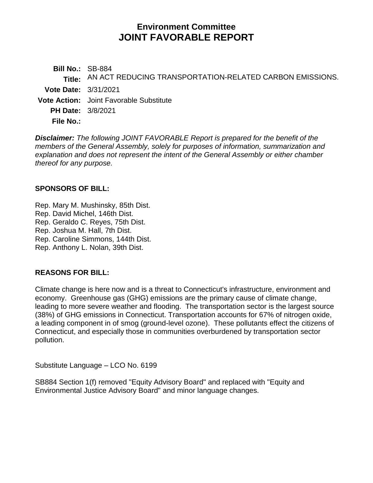# **Environment Committee JOINT FAVORABLE REPORT**

**Bill No.:** SB-884 **Title:** AN ACT REDUCING TRANSPORTATION-RELATED CARBON EMISSIONS. **Vote Date:** 3/31/2021 **Vote Action:** Joint Favorable Substitute **PH Date:** 3/8/2021 **File No.:**

*Disclaimer: The following JOINT FAVORABLE Report is prepared for the benefit of the members of the General Assembly, solely for purposes of information, summarization and explanation and does not represent the intent of the General Assembly or either chamber thereof for any purpose.*

#### **SPONSORS OF BILL:**

[Rep. Mary M. Mushinsky, 85th Dist.](https://www.cga.ct.gov/asp/CGABillStatus/CGAMemberBills.asp?dist_code=%27085%27) [Rep. David Michel, 146th Dist.](https://www.cga.ct.gov/asp/CGABillStatus/CGAMemberBills.asp?dist_code=%27146%27) [Rep. Geraldo C. Reyes, 75th Dist.](https://www.cga.ct.gov/asp/CGABillStatus/CGAMemberBills.asp?dist_code=%27075%27) Rep. [Joshua M. Hall, 7th Dist.](https://www.cga.ct.gov/asp/CGABillStatus/CGAMemberBills.asp?dist_code=%27007%27) [Rep. Caroline Simmons, 144th Dist.](https://www.cga.ct.gov/asp/CGABillStatus/CGAMemberBills.asp?dist_code=%27144%27)

[Rep. Anthony L. Nolan, 39th Dist.](https://www.cga.ct.gov/asp/CGABillStatus/CGAMemberBills.asp?dist_code=%27039%27)

#### **REASONS FOR BILL:**

Climate change is here now and is a threat to Connecticut's infrastructure, environment and economy. Greenhouse gas (GHG) emissions are the primary cause of climate change, leading to more severe weather and flooding. The transportation sector is the largest source (38%) of GHG emissions in Connecticut. Transportation accounts for 67% of nitrogen oxide, a leading component in of smog (ground-level ozone). These pollutants effect the citizens of Connecticut, and especially those in communities overburdened by transportation sector pollution.

Substitute Language – LCO No. 6199

SB884 Section 1(f) removed "Equity Advisory Board" and replaced with "Equity and Environmental Justice Advisory Board" and minor language changes.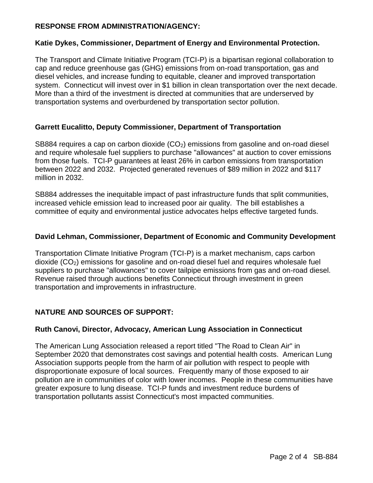# **RESPONSE FROM ADMINISTRATION/AGENCY:**

#### **Katie Dykes, Commissioner, Department of Energy and Environmental Protection.**

The Transport and Climate Initiative Program (TCI-P) is a bipartisan regional collaboration to cap and reduce greenhouse gas (GHG) emissions from on-road transportation, gas and diesel vehicles, and increase funding to equitable, cleaner and improved transportation system. Connecticut will invest over in \$1 billion in clean transportation over the next decade. More than a third of the investment is directed at communities that are underserved by transportation systems and overburdened by transportation sector pollution.

## **Garrett Eucalitto, Deputy Commissioner, Department of Transportation**

SB884 requires a cap on carbon dioxide  $(CO<sub>2</sub>)$  emissions from gasoline and on-road diesel and require wholesale fuel suppliers to purchase "allowances" at auction to cover emissions from those fuels. TCI-P guarantees at least 26% in carbon emissions from transportation between 2022 and 2032. Projected generated revenues of \$89 million in 2022 and \$117 million in 2032.

SB884 addresses the inequitable impact of past infrastructure funds that split communities, increased vehicle emission lead to increased poor air quality. The bill establishes a committee of equity and environmental justice advocates helps effective targeted funds.

#### **David Lehman, Commissioner, Department of Economic and Community Development**

Transportation Climate Initiative Program (TCI-P) is a market mechanism, caps carbon dioxide  $(CO<sub>2</sub>)$  emissions for gasoline and on-road diesel fuel and requires wholesale fuel suppliers to purchase "allowances" to cover tailpipe emissions from gas and on-road diesel. Revenue raised through auctions benefits Connecticut through investment in green transportation and improvements in infrastructure.

# **NATURE AND SOURCES OF SUPPORT:**

#### **Ruth Canovi, Director, Advocacy, American Lung Association in Connecticut**

The American Lung Association released a report titled "The Road to Clean Air" in September 2020 that demonstrates cost savings and potential health costs. American Lung Association supports people from the harm of air pollution with respect to people with disproportionate exposure of local sources. Frequently many of those exposed to air pollution are in communities of color with lower incomes. People in these communities have greater exposure to lung disease. TCI-P funds and investment reduce burdens of transportation pollutants assist Connecticut's most impacted communities.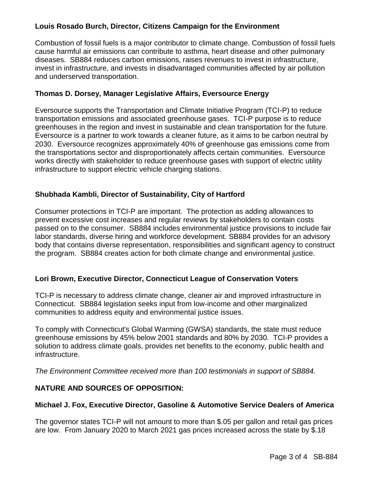# **Louis Rosado Burch, Director, Citizens Campaign for the Environment**

Combustion of fossil fuels is a major contributor to climate change. Combustion of fossil fuels cause harmful air emissions can contribute to asthma, heart disease and other pulmonary diseases. SB884 reduces carbon emissions, raises revenues to invest in infrastructure, invest in infrastructure, and invests in disadvantaged communities affected by air pollution and underserved transportation.

#### **Thomas D. Dorsey, Manager Legislative Affairs, Eversource Energy**

Eversource supports the Transportation and Climate Initiative Program (TCI-P) to reduce transportation emissions and associated greenhouse gases. TCI-P purpose is to reduce greenhouses in the region and invest in sustainable and clean transportation for the future. Eversource is a partner to work towards a cleaner future, as it aims to be carbon neutral by 2030. Eversource recognizes approximately 40% of greenhouse gas emissions come from the transportations sector and disproportionately affects certain communities. Eversource works directly with stakeholder to reduce greenhouse gases with support of electric utility infrastructure to support electric vehicle charging stations.

#### **Shubhada Kambli, Director of Sustainability, City of Hartford**

Consumer protections in TCI-P are important. The protection as adding allowances to prevent excessive cost increases and regular reviews by stakeholders to contain costs passed on to the consumer. SB884 includes environmental justice provisions to include fair labor standards, diverse hiring and workforce development. SB884 provides for an advisory body that contains diverse representation, responsibilities and significant agency to construct the program. SB884 creates action for both climate change and environmental justice.

#### **Lori Brown, Executive Director, Connecticut League of Conservation Voters**

TCI-P is necessary to address climate change, cleaner air and improved infrastructure in Connecticut. SB884 legislation seeks input from low-income and other marginalized communities to address equity and environmental justice issues.

To comply with Connecticut's Global Warming (GWSA) standards, the state must reduce greenhouse emissions by 45% below 2001 standards and 80% by 2030. TCI-P provides a solution to address climate goals, provides net benefits to the economy, public health and infrastructure.

*The Environment Committee received more than 100 testimonials in support of SB884.*

#### **NATURE AND SOURCES OF OPPOSITION:**

#### **Michael J. Fox, Executive Director, Gasoline & Automotive Service Dealers of America**

The governor states TCI-P will not amount to more than \$.05 per gallon and retail gas prices are low. From January 2020 to March 2021 gas prices increased across the state by \$.18